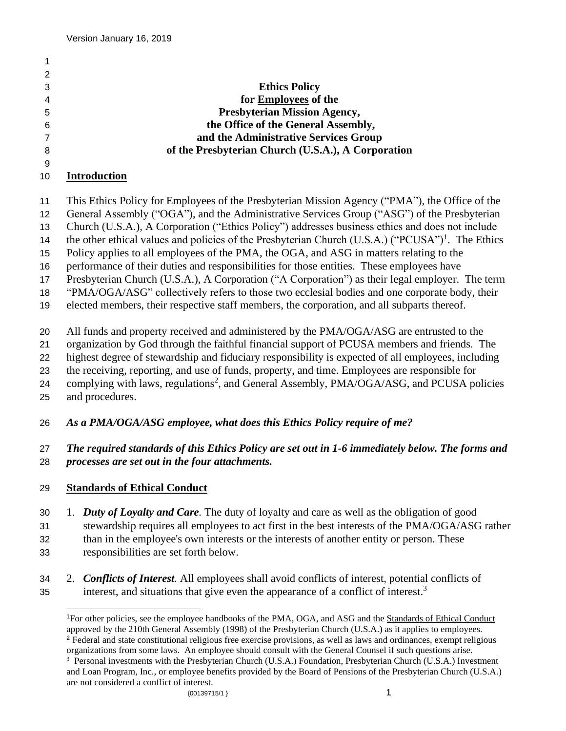|   | <b>Ethics Policy</b>                               |
|---|----------------------------------------------------|
|   | for Employees of the                               |
| 5 | <b>Presbyterian Mission Agency,</b>                |
| 6 | the Office of the General Assembly,                |
|   | and the Administrative Services Group              |
| 8 | of the Presbyterian Church (U.S.A.), A Corporation |
|   |                                                    |

### **Introduction**

- This Ethics Policy for Employees of the Presbyterian Mission Agency ("PMA"), the Office of the
- General Assembly ("OGA"), and the Administrative Services Group ("ASG") of the Presbyterian
- Church (U.S.A.), A Corporation ("Ethics Policy") addresses business ethics and does not include
- 14 the other ethical values and policies of the Presbyterian Church (U.S.A.) ("PCUSA")<sup>1</sup>. The Ethics
- Policy applies to all employees of the PMA, the OGA, and ASG in matters relating to the
- performance of their duties and responsibilities for those entities. These employees have
- Presbyterian Church (U.S.A.), A Corporation ("A Corporation") as their legal employer. The term
- "PMA/OGA/ASG" collectively refers to those two ecclesial bodies and one corporate body, their
- elected members, their respective staff members, the corporation, and all subparts thereof.
- All funds and property received and administered by the PMA/OGA/ASG are entrusted to the
- organization by God through the faithful financial support of PCUSA members and friends. The
- highest degree of stewardship and fiduciary responsibility is expected of all employees, including
- the receiving, reporting, and use of funds, property, and time. Employees are responsible for
- 24 complying with laws, regulations<sup>2</sup>, and General Assembly, PMA/OGA/ASG, and PCUSA policies
- and procedures.

## *As a PMA/OGA/ASG employee, what does this Ethics Policy require of me?*

#### *The required standards of this Ethics Policy are set out in 1-6 immediately below. The forms and processes are set out in the four attachments.*

## **Standards of Ethical Conduct**

- 1. *Duty of Loyalty and Care.* The duty of loyalty and care as well as the obligation of good stewardship requires all employees to act first in the best interests of the PMA/OGA/ASG rather than in the employee's own interests or the interests of another entity or person. These
- responsibilities are set forth below.
- 2. *Conflicts of Interest.* All employees shall avoid conflicts of interest, potential conflicts of interest, and situations that give even the appearance of a conflict of interest.<sup>3</sup>

For other policies, see the employee handbooks of the PMA, OGA, and ASG and the Standards of Ethical Conduct approved by the 210th General Assembly (1998) of the Presbyterian Church (U.S.A.) as it applies to employees. <sup>2</sup> Federal and state constitutional religious free exercise provisions, as well as laws and ordinances, exempt religious organizations from some laws. An employee should consult with the General Counsel if such questions arise.

 $\{00139715/1\}$  1 <sup>3</sup> Personal investments with the Presbyterian Church (U.S.A.) Foundation, Presbyterian Church (U.S.A.) Investment and Loan Program, Inc., or employee benefits provided by the Board of Pensions of the Presbyterian Church (U.S.A.) are not considered a conflict of interest.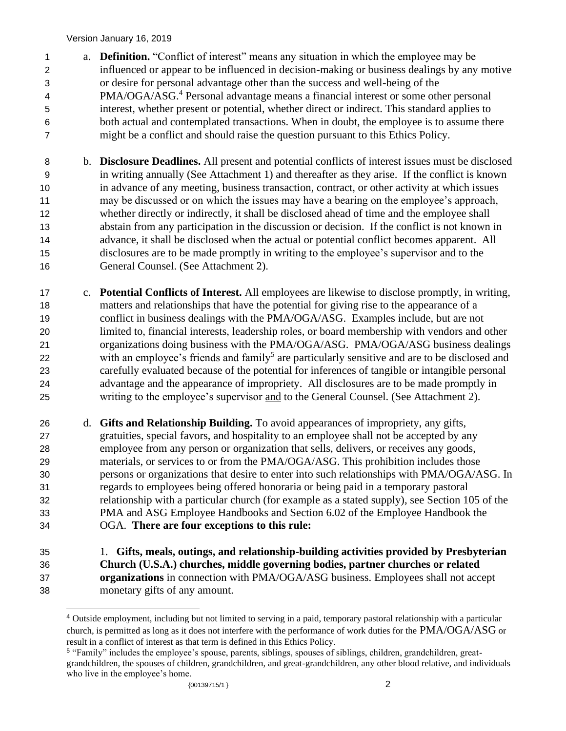- a. **Definition.** "Conflict of interest" means any situation in which the employee may be influenced or appear to be influenced in decision-making or business dealings by any motive or desire for personal advantage other than the success and well-being of the 4 PMA/OGA/ASG.<sup>4</sup> Personal advantage means a financial interest or some other personal interest, whether present or potential, whether direct or indirect. This standard applies to both actual and contemplated transactions. When in doubt, the employee is to assume there might be a conflict and should raise the question pursuant to this Ethics Policy.
- b. **Disclosure Deadlines.** All present and potential conflicts of interest issues must be disclosed in writing annually (See Attachment 1) and thereafter as they arise. If the conflict is known in advance of any meeting, business transaction, contract, or other activity at which issues may be discussed or on which the issues may have a bearing on the employee's approach, whether directly or indirectly, it shall be disclosed ahead of time and the employee shall abstain from any participation in the discussion or decision. If the conflict is not known in advance, it shall be disclosed when the actual or potential conflict becomes apparent. All disclosures are to be made promptly in writing to the employee's supervisor and to the General Counsel. (See Attachment 2).
- c. **Potential Conflicts of Interest.** All employees are likewise to disclose promptly, in writing, matters and relationships that have the potential for giving rise to the appearance of a conflict in business dealings with the PMA/OGA/ASG. Examples include, but are not limited to, financial interests, leadership roles, or board membership with vendors and other organizations doing business with the PMA/OGA/ASG. PMA/OGA/ASG business dealings 22 with an employee's friends and family<sup>5</sup> are particularly sensitive and are to be disclosed and carefully evaluated because of the potential for inferences of tangible or intangible personal advantage and the appearance of impropriety. All disclosures are to be made promptly in writing to the employee's supervisor and to the General Counsel. (See Attachment 2).
- d. **Gifts and Relationship Building.** To avoid appearances of impropriety, any gifts, gratuities, special favors, and hospitality to an employee shall not be accepted by any employee from any person or organization that sells, delivers, or receives any goods, materials, or services to or from the PMA/OGA/ASG. This prohibition includes those persons or organizations that desire to enter into such relationships with PMA/OGA/ASG. In regards to employees being offered honoraria or being paid in a temporary pastoral relationship with a particular church (for example as a stated supply), see Section 105 of the PMA and ASG Employee Handbooks and Section 6.02 of the Employee Handbook the OGA. **There are four exceptions to this rule:**
- 1. **Gifts, meals, outings, and relationship-building activities provided by Presbyterian Church (U.S.A.) churches, middle governing bodies, partner churches or related organizations** in connection with PMA/OGA/ASG business. Employees shall not accept monetary gifts of any amount.

 Outside employment, including but not limited to serving in a paid, temporary pastoral relationship with a particular church, is permitted as long as it does not interfere with the performance of work duties for the PMA/OGA/ASG or result in a conflict of interest as that term is defined in this Ethics Policy.

<sup>{00139715/1 }</sup> 2 "Family" includes the employee's spouse, parents, siblings, spouses of siblings, children, grandchildren, greatgrandchildren, the spouses of children, grandchildren, and great-grandchildren, any other blood relative, and individuals who live in the employee's home.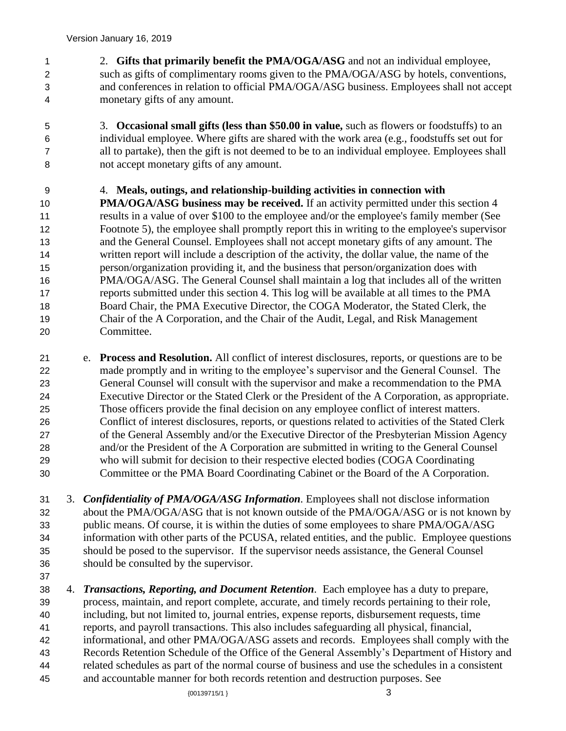2. **Gifts that primarily benefit the PMA/OGA/ASG** and not an individual employee, such as gifts of complimentary rooms given to the PMA/OGA/ASG by hotels, conventions, and conferences in relation to official PMA/OGA/ASG business. Employees shall not accept monetary gifts of any amount.

 3. **Occasional small gifts (less than \$50.00 in value,** such as flowers or foodstuffs) to an individual employee. Where gifts are shared with the work area (e.g., foodstuffs set out for all to partake), then the gift is not deemed to be to an individual employee. Employees shall not accept monetary gifts of any amount.

 4. **Meals, outings, and relationship-building activities in connection with PMA/OGA/ASG** business may be received. If an activity permitted under this section 4 results in a value of over \$100 to the employee and/or the employee's family member (See Footnote 5), the employee shall promptly report this in writing to the employee's supervisor and the General Counsel. Employees shall not accept monetary gifts of any amount. The written report will include a description of the activity, the dollar value, the name of the person/organization providing it, and the business that person/organization does with PMA/OGA/ASG. The General Counsel shall maintain a log that includes all of the written reports submitted under this section 4. This log will be available at all times to the PMA Board Chair, the PMA Executive Director, the COGA Moderator, the Stated Clerk, the Chair of the A Corporation, and the Chair of the Audit, Legal, and Risk Management Committee.

 e. **Process and Resolution.** All conflict of interest disclosures, reports, or questions are to be made promptly and in writing to the employee's supervisor and the General Counsel. The General Counsel will consult with the supervisor and make a recommendation to the PMA Executive Director or the Stated Clerk or the President of the A Corporation, as appropriate. Those officers provide the final decision on any employee conflict of interest matters. Conflict of interest disclosures, reports, or questions related to activities of the Stated Clerk of the General Assembly and/or the Executive Director of the Presbyterian Mission Agency and/or the President of the A Corporation are submitted in writing to the General Counsel who will submit for decision to their respective elected bodies (COGA Coordinating Committee or the PMA Board Coordinating Cabinet or the Board of the A Corporation.

 3. *Confidentiality of PMA/OGA/ASG Information.* Employees shall not disclose information about the PMA/OGA/ASG that is not known outside of the PMA/OGA/ASG or is not known by public means. Of course, it is within the duties of some employees to share PMA/OGA/ASG information with other parts of the PCUSA, related entities, and the public. Employee questions should be posed to the supervisor. If the supervisor needs assistance, the General Counsel should be consulted by the supervisor.

 4. *Transactions, Reporting, and Document Retention.* Each employee has a duty to prepare, process, maintain, and report complete, accurate, and timely records pertaining to their role, including, but not limited to, journal entries, expense reports, disbursement requests, time reports, and payroll transactions. This also includes safeguarding all physical, financial, informational, and other PMA/OGA/ASG assets and records. Employees shall comply with the Records Retention Schedule of the Office of the General Assembly's Department of History and related schedules as part of the normal course of business and use the schedules in a consistent and accountable manner for both records retention and destruction purposes. See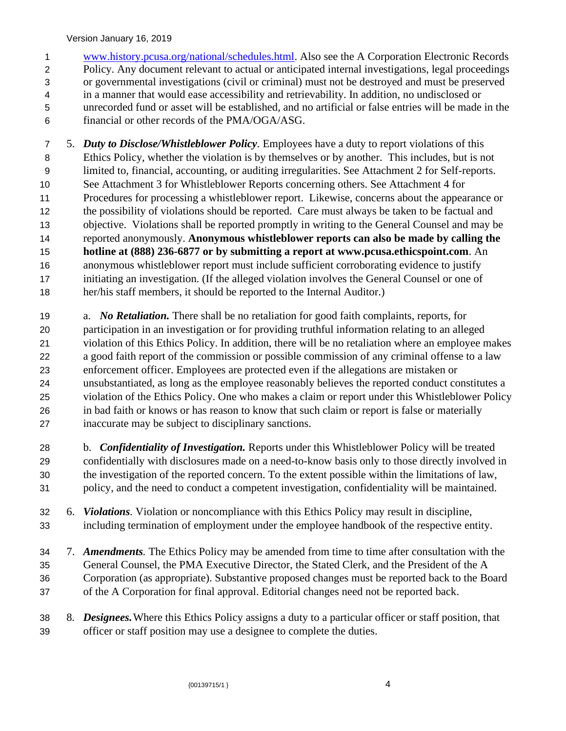Version January 16, 2019

 [www.history.pcusa.org/national/schedules.html.](http://www.history.pcusa.org/national/schedules.html) Also see the A Corporation Electronic Records Policy. Any document relevant to actual or anticipated internal investigations, legal proceedings or governmental investigations (civil or criminal) must not be destroyed and must be preserved in a manner that would ease accessibility and retrievability. In addition, no undisclosed or unrecorded fund or asset will be established, and no artificial or false entries will be made in the financial or other records of the PMA/OGA/ASG.

 5. *Duty to Disclose/Whistleblower Policy.* Employees have a duty to report violations of this Ethics Policy, whether the violation is by themselves or by another. This includes, but is not limited to, financial, accounting, or auditing irregularities. See Attachment 2 for Self-reports. See Attachment 3 for Whistleblower Reports concerning others. See Attachment 4 for Procedures for processing a whistleblower report. Likewise, concerns about the appearance or the possibility of violations should be reported. Care must always be taken to be factual and objective. Violations shall be reported promptly in writing to the General Counsel and may be reported anonymously. **Anonymous whistleblower reports can also be made by calling the hotline at (888) 236-6877 or by submitting a report at www.pcusa.ethicspoint.com**. An anonymous whistleblower report must include sufficient corroborating evidence to justify initiating an investigation. (If the alleged violation involves the General Counsel or one of her/his staff members, it should be reported to the Internal Auditor.)

 a. *No Retaliation.* There shall be no retaliation for good faith complaints, reports, for participation in an investigation or for providing truthful information relating to an alleged violation of this Ethics Policy. In addition, there will be no retaliation where an employee makes a good faith report of the commission or possible commission of any criminal offense to a law enforcement officer. Employees are protected even if the allegations are mistaken or unsubstantiated, as long as the employee reasonably believes the reported conduct constitutes a violation of the Ethics Policy. One who makes a claim or report under this Whistleblower Policy in bad faith or knows or has reason to know that such claim or report is false or materially inaccurate may be subject to disciplinary sanctions.

 b. *Confidentiality of Investigation.* Reports under this Whistleblower Policy will be treated confidentially with disclosures made on a need-to-know basis only to those directly involved in the investigation of the reported concern. To the extent possible within the limitations of law, policy, and the need to conduct a competent investigation, confidentiality will be maintained.

 6. *Violations.* Violation or noncompliance with this Ethics Policy may result in discipline, including termination of employment under the employee handbook of the respective entity.

 7. *Amendments.* The Ethics Policy may be amended from time to time after consultation with the General Counsel, the PMA Executive Director, the Stated Clerk, and the President of the A Corporation (as appropriate). Substantive proposed changes must be reported back to the Board of the A Corporation for final approval. Editorial changes need not be reported back.

 8*. Designees.*Where this Ethics Policy assigns a duty to a particular officer or staff position, that officer or staff position may use a designee to complete the duties.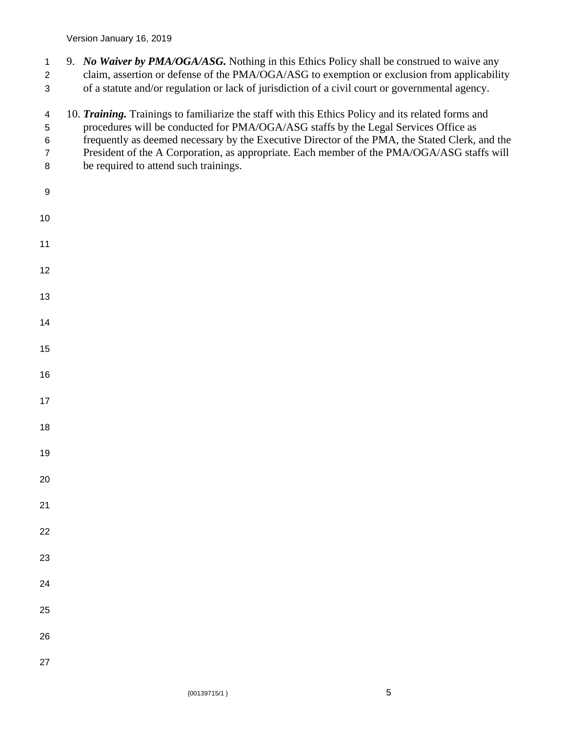- 9. *No Waiver by PMA/OGA/ASG.* Nothing in this Ethics Policy shall be construed to waive any claim, assertion or defense of the PMA/OGA/ASG to exemption or exclusion from applicability
- of a statute and/or regulation or lack of jurisdiction of a civil court or governmental agency.
- 10. *Training.* Trainings to familiarize the staff with this Ethics Policy and its related forms and
- procedures will be conducted for PMA/OGA/ASG staffs by the Legal Services Office as
- frequently as deemed necessary by the Executive Director of the PMA, the Stated Clerk, and the
- President of the A Corporation, as appropriate. Each member of the PMA/OGA/ASG staffs will
- be required to attend such trainings.
- 

 $\{00139715/1\}$  5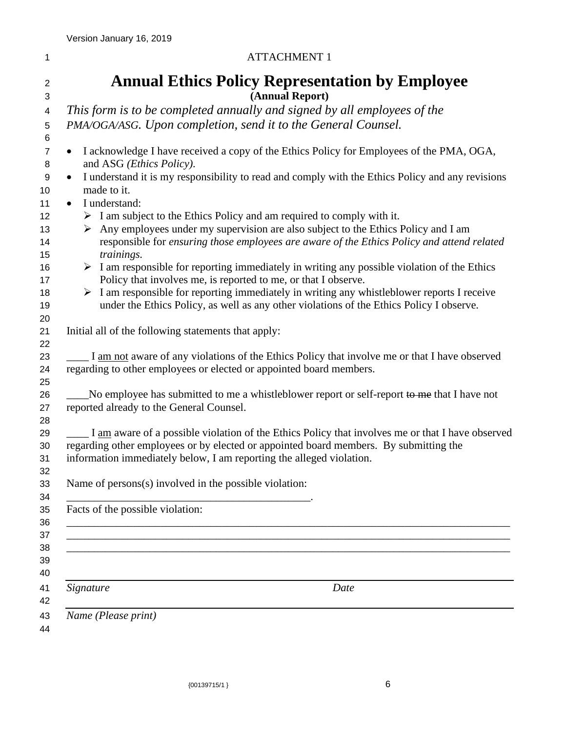| I |  |  |
|---|--|--|
|   |  |  |
|   |  |  |
|   |  |  |
|   |  |  |

#### ATTACHMENT 1

| <b>Annual Ethics Policy Representation by Employee</b><br>(Annual Report)                                                                                                                                                                                         |
|-------------------------------------------------------------------------------------------------------------------------------------------------------------------------------------------------------------------------------------------------------------------|
| This form is to be completed annually and signed by all employees of the                                                                                                                                                                                          |
| PMA/OGA/ASG. Upon completion, send it to the General Counsel.                                                                                                                                                                                                     |
|                                                                                                                                                                                                                                                                   |
| I acknowledge I have received a copy of the Ethics Policy for Employees of the PMA, OGA,<br>$\bullet$                                                                                                                                                             |
| and ASG (Ethics Policy).                                                                                                                                                                                                                                          |
| I understand it is my responsibility to read and comply with the Ethics Policy and any revisions<br>$\bullet$<br>made to it.                                                                                                                                      |
| I understand:<br>$\bullet$                                                                                                                                                                                                                                        |
| $\triangleright$ I am subject to the Ethics Policy and am required to comply with it.                                                                                                                                                                             |
| $\triangleright$ Any employees under my supervision are also subject to the Ethics Policy and I am<br>responsible for ensuring those employees are aware of the Ethics Policy and attend related<br>trainings.                                                    |
| $\triangleright$ I am responsible for reporting immediately in writing any possible violation of the Ethics<br>Policy that involves me, is reported to me, or that I observe.                                                                                     |
| $\triangleright$ I am responsible for reporting immediately in writing any whistleblower reports I receive<br>under the Ethics Policy, as well as any other violations of the Ethics Policy I observe.                                                            |
| Initial all of the following statements that apply:                                                                                                                                                                                                               |
| I am not aware of any violations of the Ethics Policy that involve me or that I have observed<br>regarding to other employees or elected or appointed board members.                                                                                              |
| No employee has submitted to me a whistleblower report or self-report to me that I have not<br>reported already to the General Counsel.                                                                                                                           |
| I am aware of a possible violation of the Ethics Policy that involves me or that I have observed<br>regarding other employees or by elected or appointed board members. By submitting the<br>information immediately below, I am reporting the alleged violation. |
| Name of persons(s) involved in the possible violation:                                                                                                                                                                                                            |
| Facts of the possible violation:                                                                                                                                                                                                                                  |
|                                                                                                                                                                                                                                                                   |
| Signature<br>Date                                                                                                                                                                                                                                                 |
|                                                                                                                                                                                                                                                                   |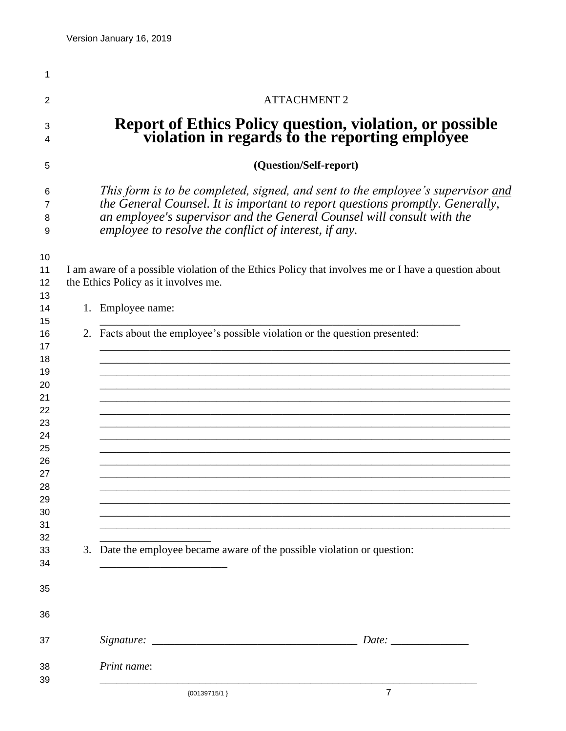| <b>ATTACHMENT 2</b> |                                                                                                                                                                                                                                                                                                     |  |
|---------------------|-----------------------------------------------------------------------------------------------------------------------------------------------------------------------------------------------------------------------------------------------------------------------------------------------------|--|
|                     | <b>Report of Ethics Policy question, violation, or possible</b><br>violation in regards to the reporting employee                                                                                                                                                                                   |  |
|                     | (Question/Self-report)                                                                                                                                                                                                                                                                              |  |
|                     | This form is to be completed, signed, and sent to the employee's supervisor and<br>the General Counsel. It is important to report questions promptly. Generally,<br>an employee's supervisor and the General Counsel will consult with the<br>employee to resolve the conflict of interest, if any. |  |
|                     | I am aware of a possible violation of the Ethics Policy that involves me or I have a question about<br>the Ethics Policy as it involves me.                                                                                                                                                         |  |
|                     |                                                                                                                                                                                                                                                                                                     |  |
|                     | 1. Employee name:                                                                                                                                                                                                                                                                                   |  |
|                     | 2. Facts about the employee's possible violation or the question presented:                                                                                                                                                                                                                         |  |
|                     |                                                                                                                                                                                                                                                                                                     |  |
|                     |                                                                                                                                                                                                                                                                                                     |  |
|                     |                                                                                                                                                                                                                                                                                                     |  |
|                     |                                                                                                                                                                                                                                                                                                     |  |
|                     |                                                                                                                                                                                                                                                                                                     |  |
|                     |                                                                                                                                                                                                                                                                                                     |  |
|                     |                                                                                                                                                                                                                                                                                                     |  |
|                     |                                                                                                                                                                                                                                                                                                     |  |
|                     |                                                                                                                                                                                                                                                                                                     |  |
|                     |                                                                                                                                                                                                                                                                                                     |  |
|                     |                                                                                                                                                                                                                                                                                                     |  |
|                     |                                                                                                                                                                                                                                                                                                     |  |
|                     |                                                                                                                                                                                                                                                                                                     |  |
|                     | 3. Date the employee became aware of the possible violation or question:                                                                                                                                                                                                                            |  |
|                     |                                                                                                                                                                                                                                                                                                     |  |
|                     |                                                                                                                                                                                                                                                                                                     |  |
|                     |                                                                                                                                                                                                                                                                                                     |  |
|                     |                                                                                                                                                                                                                                                                                                     |  |
|                     |                                                                                                                                                                                                                                                                                                     |  |
|                     | Print name:                                                                                                                                                                                                                                                                                         |  |
|                     | $\overline{7}$<br>${00139715/1}$                                                                                                                                                                                                                                                                    |  |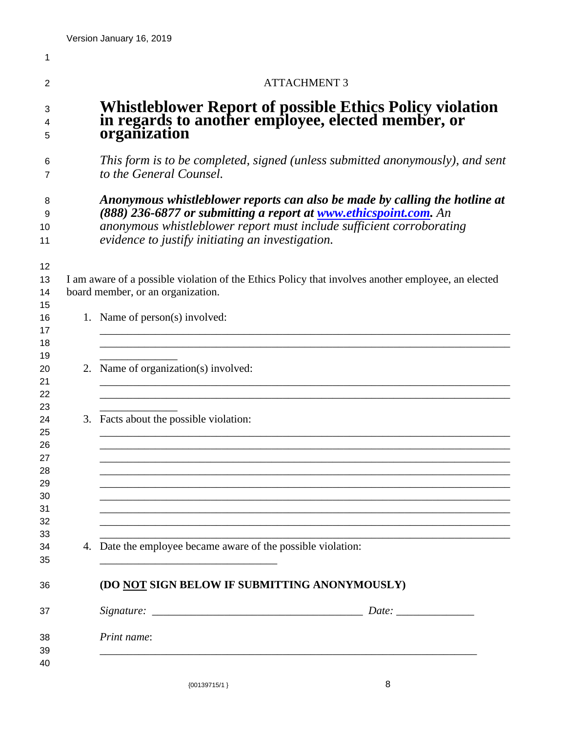| <b>ATTACHMENT 3</b><br>Whistleblower Report of possible Ethics Policy violation<br>in regards to another employee, elected member, or<br>organization<br>This form is to be completed, signed (unless submitted anonymously), and sent<br>to the General Counsel.<br>Anonymous whistleblower reports can also be made by calling the hotline at<br>(888) 236-6877 or submitting a report at <b>www.ethicspoint.com</b> . An<br>anonymous whistleblower report must include sufficient corroborating<br>evidence to justify initiating an investigation.<br>12<br>I am aware of a possible violation of the Ethics Policy that involves another employee, an elected<br>board member, or an organization.<br>14<br>1. Name of person(s) involved:<br>2. Name of organization(s) involved:<br>3. Facts about the possible violation:<br>4. Date the employee became aware of the possible violation:<br>(DO NOT SIGN BELOW IF SUBMITTING ANONYMOUSLY)<br>Print name: |  |  |  |  |
|--------------------------------------------------------------------------------------------------------------------------------------------------------------------------------------------------------------------------------------------------------------------------------------------------------------------------------------------------------------------------------------------------------------------------------------------------------------------------------------------------------------------------------------------------------------------------------------------------------------------------------------------------------------------------------------------------------------------------------------------------------------------------------------------------------------------------------------------------------------------------------------------------------------------------------------------------------------------|--|--|--|--|
|                                                                                                                                                                                                                                                                                                                                                                                                                                                                                                                                                                                                                                                                                                                                                                                                                                                                                                                                                                    |  |  |  |  |
|                                                                                                                                                                                                                                                                                                                                                                                                                                                                                                                                                                                                                                                                                                                                                                                                                                                                                                                                                                    |  |  |  |  |
|                                                                                                                                                                                                                                                                                                                                                                                                                                                                                                                                                                                                                                                                                                                                                                                                                                                                                                                                                                    |  |  |  |  |
|                                                                                                                                                                                                                                                                                                                                                                                                                                                                                                                                                                                                                                                                                                                                                                                                                                                                                                                                                                    |  |  |  |  |
|                                                                                                                                                                                                                                                                                                                                                                                                                                                                                                                                                                                                                                                                                                                                                                                                                                                                                                                                                                    |  |  |  |  |
|                                                                                                                                                                                                                                                                                                                                                                                                                                                                                                                                                                                                                                                                                                                                                                                                                                                                                                                                                                    |  |  |  |  |
|                                                                                                                                                                                                                                                                                                                                                                                                                                                                                                                                                                                                                                                                                                                                                                                                                                                                                                                                                                    |  |  |  |  |
|                                                                                                                                                                                                                                                                                                                                                                                                                                                                                                                                                                                                                                                                                                                                                                                                                                                                                                                                                                    |  |  |  |  |
|                                                                                                                                                                                                                                                                                                                                                                                                                                                                                                                                                                                                                                                                                                                                                                                                                                                                                                                                                                    |  |  |  |  |
|                                                                                                                                                                                                                                                                                                                                                                                                                                                                                                                                                                                                                                                                                                                                                                                                                                                                                                                                                                    |  |  |  |  |
|                                                                                                                                                                                                                                                                                                                                                                                                                                                                                                                                                                                                                                                                                                                                                                                                                                                                                                                                                                    |  |  |  |  |
|                                                                                                                                                                                                                                                                                                                                                                                                                                                                                                                                                                                                                                                                                                                                                                                                                                                                                                                                                                    |  |  |  |  |
|                                                                                                                                                                                                                                                                                                                                                                                                                                                                                                                                                                                                                                                                                                                                                                                                                                                                                                                                                                    |  |  |  |  |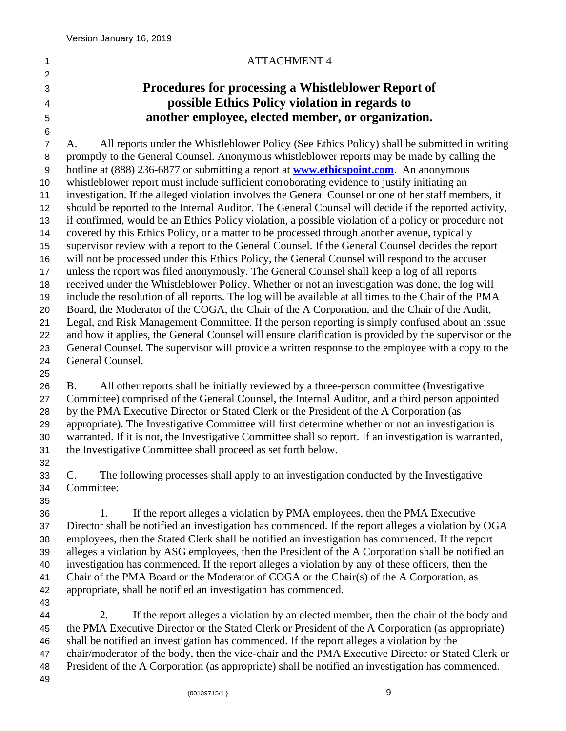#### 1 ATTACHMENT 4

# **Procedures for processing a Whistleblower Report of possible Ethics Policy violation in regards to another employee, elected member, or organization.**

 A. All reports under the Whistleblower Policy (See Ethics Policy) shall be submitted in writing promptly to the General Counsel. Anonymous whistleblower reports may be made by calling the hotline at (888) 236-6877 or submitting a report at **[www.ethicspoint.com](http://www.ethicspoint.com/)**. An anonymous whistleblower report must include sufficient corroborating evidence to justify initiating an investigation. If the alleged violation involves the General Counsel or one of her staff members, it should be reported to the Internal Auditor. The General Counsel will decide if the reported activity, if confirmed, would be an Ethics Policy violation, a possible violation of a policy or procedure not covered by this Ethics Policy, or a matter to be processed through another avenue, typically supervisor review with a report to the General Counsel. If the General Counsel decides the report will not be processed under this Ethics Policy, the General Counsel will respond to the accuser unless the report was filed anonymously. The General Counsel shall keep a log of all reports received under the Whistleblower Policy. Whether or not an investigation was done, the log will include the resolution of all reports. The log will be available at all times to the Chair of the PMA Board, the Moderator of the COGA, the Chair of the A Corporation, and the Chair of the Audit, Legal, and Risk Management Committee. If the person reporting is simply confused about an issue and how it applies, the General Counsel will ensure clarification is provided by the supervisor or the General Counsel. The supervisor will provide a written response to the employee with a copy to the General Counsel.

 B. All other reports shall be initially reviewed by a three-person committee (Investigative Committee) comprised of the General Counsel, the Internal Auditor, and a third person appointed by the PMA Executive Director or Stated Clerk or the President of the A Corporation (as appropriate). The Investigative Committee will first determine whether or not an investigation is warranted. If it is not, the Investigative Committee shall so report. If an investigation is warranted, the Investigative Committee shall proceed as set forth below.

 C. The following processes shall apply to an investigation conducted by the Investigative Committee:

 1. If the report alleges a violation by PMA employees, then the PMA Executive Director shall be notified an investigation has commenced. If the report alleges a violation by OGA employees, then the Stated Clerk shall be notified an investigation has commenced. If the report alleges a violation by ASG employees, then the President of the A Corporation shall be notified an investigation has commenced. If the report alleges a violation by any of these officers, then the Chair of the PMA Board or the Moderator of COGA or the Chair(s) of the A Corporation, as appropriate, shall be notified an investigation has commenced.

 $\{00139715/1\}$  9 2. If the report alleges a violation by an elected member, then the chair of the body and the PMA Executive Director or the Stated Clerk or President of the A Corporation (as appropriate) shall be notified an investigation has commenced. If the report alleges a violation by the chair/moderator of the body, then the vice-chair and the PMA Executive Director or Stated Clerk or President of the A Corporation (as appropriate) shall be notified an investigation has commenced.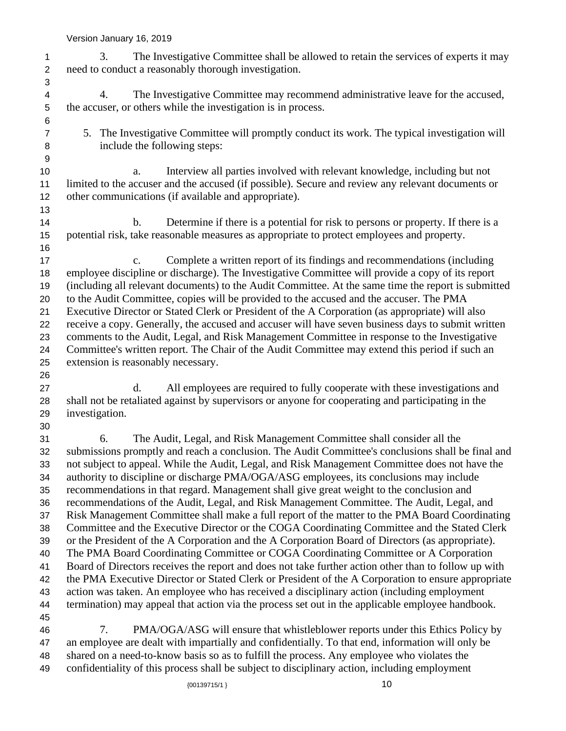Version January 16, 2019

 3. The Investigative Committee shall be allowed to retain the services of experts it may need to conduct a reasonably thorough investigation. 4. The Investigative Committee may recommend administrative leave for the accused, the accuser, or others while the investigation is in process. 5. The Investigative Committee will promptly conduct its work. The typical investigation will include the following steps: a. Interview all parties involved with relevant knowledge, including but not limited to the accuser and the accused (if possible). Secure and review any relevant documents or other communications (if available and appropriate). 14 b. Determine if there is a potential for risk to persons or property. If there is a potential risk, take reasonable measures as appropriate to protect employees and property. c. Complete a written report of its findings and recommendations (including employee discipline or discharge). The Investigative Committee will provide a copy of its report (including all relevant documents) to the Audit Committee. At the same time the report is submitted to the Audit Committee, copies will be provided to the accused and the accuser. The PMA Executive Director or Stated Clerk or President of the A Corporation (as appropriate) will also receive a copy. Generally, the accused and accuser will have seven business days to submit written comments to the Audit, Legal, and Risk Management Committee in response to the Investigative Committee's written report. The Chair of the Audit Committee may extend this period if such an extension is reasonably necessary. d. All employees are required to fully cooperate with these investigations and shall not be retaliated against by supervisors or anyone for cooperating and participating in the investigation. 6. The Audit, Legal, and Risk Management Committee shall consider all the submissions promptly and reach a conclusion. The Audit Committee's conclusions shall be final and not subject to appeal. While the Audit, Legal, and Risk Management Committee does not have the authority to discipline or discharge PMA/OGA/ASG employees, its conclusions may include recommendations in that regard. Management shall give great weight to the conclusion and recommendations of the Audit, Legal, and Risk Management Committee. The Audit, Legal, and Risk Management Committee shall make a full report of the matter to the PMA Board Coordinating Committee and the Executive Director or the COGA Coordinating Committee and the Stated Clerk or the President of the A Corporation and the A Corporation Board of Directors (as appropriate). The PMA Board Coordinating Committee or COGA Coordinating Committee or A Corporation Board of Directors receives the report and does not take further action other than to follow up with the PMA Executive Director or Stated Clerk or President of the A Corporation to ensure appropriate action was taken. An employee who has received a disciplinary action (including employment termination) may appeal that action via the process set out in the applicable employee handbook. 7. PMA/OGA/ASG will ensure that whistleblower reports under this Ethics Policy by an employee are dealt with impartially and confidentially. To that end, information will only be shared on a need-to-know basis so as to fulfill the process. Any employee who violates the

confidentiality of this process shall be subject to disciplinary action, including employment